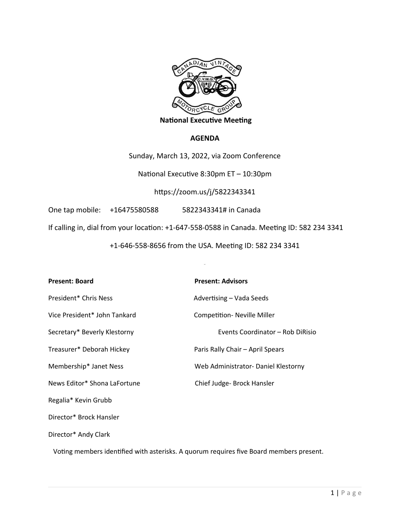

 **National Executive Meeting** 

#### **AGENDA**

Sunday, March 13, 2022, via Zoom Conference

National Executive 8:30pm ET – 10:30pm

https://zoom.us/j/5822343341

One tap mobile: +16475580588 5822343341# in Canada

If calling in, dial from your location: +1-647-558-0588 in Canada. Meeting ID: 582 234 3341

+1-646-558-8656 from the USA. Meeting ID: 582 234 3341

| <b>Present: Board</b>        | <b>Present: Advisors</b>            |
|------------------------------|-------------------------------------|
| President* Chris Ness        | Advertising - Vada Seeds            |
| Vice President* John Tankard | <b>Competition- Neville Miller</b>  |
| Secretary* Beverly Klestorny | Events Coordinator – Rob DiRisio    |
| Treasurer* Deborah Hickey    | Paris Rally Chair – April Spears    |
| Membership* Janet Ness       | Web Administrator- Daniel Klestorny |
| News Editor* Shona LaFortune | Chief Judge- Brock Hansler          |
| Regalia* Kevin Grubb         |                                     |
| Director* Brock Hansler      |                                     |
| Director* Andy Clark         |                                     |

Voting members identified with asterisks. A quorum requires five Board members present.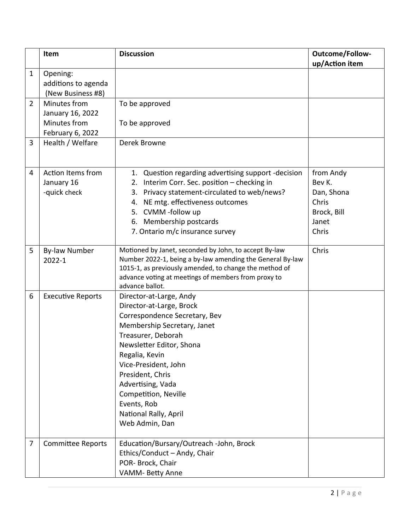|                | Item                                                                 | <b>Discussion</b>                                                                                                                                                                                                                                                                                                                          | Outcome/Follow-<br>up/Action item                                           |
|----------------|----------------------------------------------------------------------|--------------------------------------------------------------------------------------------------------------------------------------------------------------------------------------------------------------------------------------------------------------------------------------------------------------------------------------------|-----------------------------------------------------------------------------|
| $\mathbf{1}$   | Opening:<br>additions to agenda<br>(New Business #8)                 |                                                                                                                                                                                                                                                                                                                                            |                                                                             |
| $\overline{2}$ | Minutes from<br>January 16, 2022<br>Minutes from<br>February 6, 2022 | To be approved<br>To be approved                                                                                                                                                                                                                                                                                                           |                                                                             |
| 3              | Health / Welfare                                                     | Derek Browne                                                                                                                                                                                                                                                                                                                               |                                                                             |
| 4              | <b>Action Items from</b><br>January 16<br>-quick check               | 1. Question regarding advertising support -decision<br>2. Interim Corr. Sec. position - checking in<br>Privacy statement-circulated to web/news?<br>3.<br>4. NE mtg. effectiveness outcomes<br>5. CVMM -follow up<br>6. Membership postcards<br>7. Ontario m/c insurance survey                                                            | from Andy<br>Bev K.<br>Dan, Shona<br>Chris<br>Brock, Bill<br>Janet<br>Chris |
| 5              | <b>By-law Number</b><br>2022-1                                       | Motioned by Janet, seconded by John, to accept By-law<br>Number 2022-1, being a by-law amending the General By-law<br>1015-1, as previously amended, to change the method of<br>advance voting at meetings of members from proxy to<br>advance ballot.                                                                                     | Chris                                                                       |
| 6              | <b>Executive Reports</b>                                             | Director-at-Large, Andy<br>Director-at-Large, Brock<br>Correspondence Secretary, Bev<br>Membership Secretary, Janet<br>Treasurer, Deborah<br>Newsletter Editor, Shona<br>Regalia, Kevin<br>Vice-President, John<br>President, Chris<br>Advertising, Vada<br>Competition, Neville<br>Events, Rob<br>National Rally, April<br>Web Admin, Dan |                                                                             |
| 7              | <b>Committee Reports</b>                                             | Education/Bursary/Outreach -John, Brock<br>Ethics/Conduct - Andy, Chair<br>POR- Brock, Chair<br>VAMM- Betty Anne                                                                                                                                                                                                                           |                                                                             |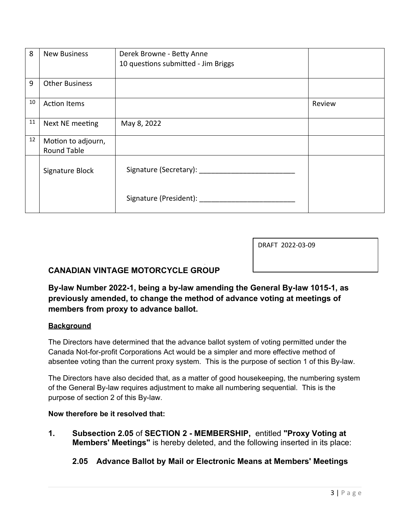| 8  | <b>New Business</b>   | Derek Browne - Betty Anne           |        |
|----|-----------------------|-------------------------------------|--------|
|    |                       | 10 questions submitted - Jim Briggs |        |
|    |                       |                                     |        |
| 9  | <b>Other Business</b> |                                     |        |
| 10 | <b>Action Items</b>   |                                     | Review |
| 11 | Next NE meeting       | May 8, 2022                         |        |
| 12 | Motion to adjourn,    |                                     |        |
|    | <b>Round Table</b>    |                                     |        |
|    | Signature Block       | Signature (Secretary):              |        |
|    |                       | Signature (President):              |        |

DRAFT 2022-03-09

# **CANADIAN VINTAGE MOTORCYCLE GROUP**

**By-law Number 2022-1, being a by-law amending the General By-law 1015-1, as previously amended, to change the method of advance voting at meetings of members from proxy to advance ballot.**

#### **Background**

The Directors have determined that the advance ballot system of voting permitted under the Canada Not-for-profit Corporations Act would be a simpler and more effective method of absentee voting than the current proxy system. This is the purpose of section 1 of this By-law.

The Directors have also decided that, as a matter of good housekeeping, the numbering system of the General By-law requires adjustment to make all numbering sequential. This is the purpose of section 2 of this By-law.

#### **Now therefore be it resolved that:**

**1. Subsection 2.05** of **SECTION 2 - MEMBERSHIP,** entitled **"Proxy Voting at Members' Meetings"** is hereby deleted, and the following inserted in its place:

## **2.05 Advance Ballot by Mail or Electronic Means at Members' Meetings**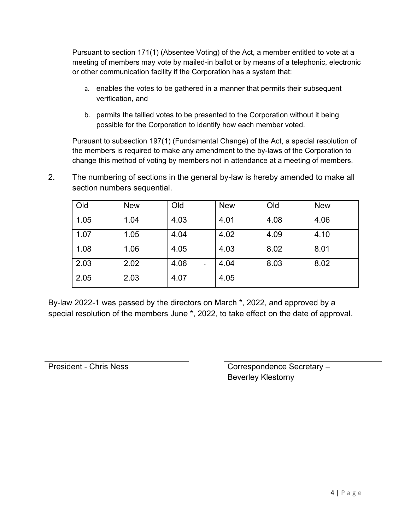Pursuant to section 171(1) (Absentee Voting) of the Act, a member entitled to vote at a meeting of members may vote by mailed-in ballot or by means of a telephonic, electronic or other communication facility if the Corporation has a system that:

- a. enables the votes to be gathered in a manner that permits their subsequent verification, and
- b. permits the tallied votes to be presented to the Corporation without it being possible for the Corporation to identify how each member voted.

Pursuant to subsection 197(1) (Fundamental Change) of the Act, a special resolution of the members is required to make any amendment to the by-laws of the Corporation to change this method of voting by members not in attendance at a meeting of members.

2. The numbering of sections in the general by-law is hereby amended to make all section numbers sequential.

| Old  | <b>New</b> | Old  | <b>New</b> | Old  | <b>New</b> |
|------|------------|------|------------|------|------------|
| 1.05 | 1.04       | 4.03 | 4.01       | 4.08 | 4.06       |
| 1.07 | 1.05       | 4.04 | 4.02       | 4.09 | 4.10       |
| 1.08 | 1.06       | 4.05 | 4.03       | 8.02 | 8.01       |
| 2.03 | 2.02       | 4.06 | 4.04       | 8.03 | 8.02       |
| 2.05 | 2.03       | 4.07 | 4.05       |      |            |

By-law 2022-1 was passed by the directors on March \*, 2022, and approved by a special resolution of the members June \*, 2022, to take effect on the date of approval.

President - Chris Ness Correspondence Secretary – Beverley Klestorny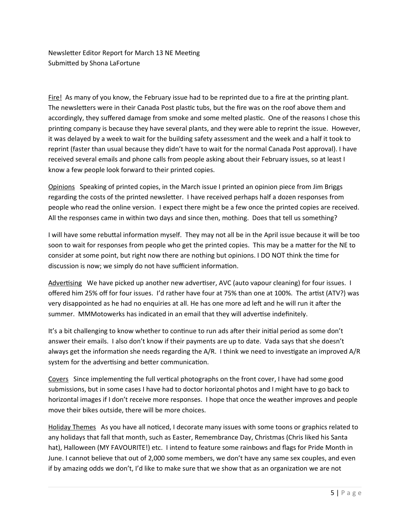Newsletter Editor Report for March 13 NE Meeting Submitted by Shona LaFortune

Fire! As many of you know, the February issue had to be reprinted due to a fire at the printing plant. The newsletters were in their Canada Post plastic tubs, but the fire was on the roof above them and accordingly, they suffered damage from smoke and some melted plastic. One of the reasons I chose this printing company is because they have several plants, and they were able to reprint the issue. However, it was delayed by a week to wait for the building safety assessment and the week and a half it took to reprint (faster than usual because they didn't have to wait for the normal Canada Post approval). I have received several emails and phone calls from people asking about their February issues, so at least I know a few people look forward to their printed copies.

Opinions Speaking of printed copies, in the March issue I printed an opinion piece from Jim Briggs regarding the costs of the printed newsletter. I have received perhaps half a dozen responses from people who read the online version. I expect there might be a few once the printed copies are received. All the responses came in within two days and since then, mothing. Does that tell us something?

discussion is now; we simply do not have sufficient information. I will have some rebuttal information myself. They may not all be in the April issue because it will be too soon to wait for responses from people who get the printed copies. This may be a matter for the NE to consider at some point, but right now there are nothing but opinions. I DO NOT think the time for

Advertising We have picked up another new advertiser, AVC (auto vapour cleaning) for four issues. I offered him 25% off for four issues. I'd rather have four at 75% than one at 100%. The artist (ATV?) was very disappointed as he had no enquiries at all. He has one more ad left and he will run it after the summer. MMMotowerks has indicated in an email that they will advertise indefinitely.

It's a bit challenging to know whether to continue to run ads after their initial period as some don't answer their emails. I also don't know if their payments are up to date. Vada says that she doesn't always get the information she needs regarding the A/R. I think we need to investigate an improved A/R system for the advertising and better communication.

Covers Since implementing the full vertical photographs on the front cover, I have had some good submissions, but in some cases I have had to doctor horizontal photos and I might have to go back to horizontal images if I don't receive more responses. I hope that once the weather improves and people move their bikes outside, there will be more choices.

Holiday Themes As you have all noticed, I decorate many issues with some toons or graphics related to any holidays that fall that month, such as Easter, Remembrance Day, Christmas (Chris liked his Santa hat), Halloween (MY FAVOURITE!) etc. I intend to feature some rainbows and flags for Pride Month in June. I cannot believe that out of 2,000 some members, we don't have any same sex couples, and even if by amazing odds we don't, I'd like to make sure that we show that as an organization we are not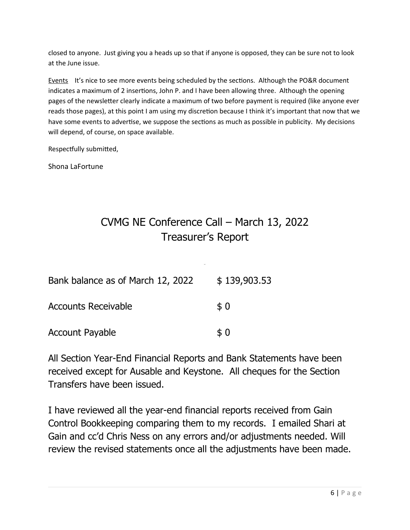closed to anyone. Just giving you a heads up so that if anyone is opposed, they can be sure not to look at the June issue.

Events It's nice to see more events being scheduled by the sections. Although the PO&R document indicates a maximum of 2 insertions, John P. and I have been allowing three. Although the opening pages of the newsletter clearly indicate a maximum of two before payment is required (like anyone ever reads those pages), at this point I am using my discretion because I think it's important that now that we have some events to advertise, we suppose the sections as much as possible in publicity. My decisions will depend, of course, on space available.

Respectfully submitted,

Shona LaFortune

# CVMG NE Conference Call – March 13, 2022 Treasurer's Report

| Bank balance as of March 12, 2022 | \$139,903.53 |
|-----------------------------------|--------------|
| <b>Accounts Receivable</b>        | \$0          |
| Account Payable                   | \$0          |

All Section Year-End Financial Reports and Bank Statements have been received except for Ausable and Keystone. All cheques for the Section Transfers have been issued.

I have reviewed all the year-end financial reports received from Gain Control Bookkeeping comparing them to my records. I emailed Shari at Gain and cc'd Chris Ness on any errors and/or adjustments needed. Will review the revised statements once all the adjustments have been made.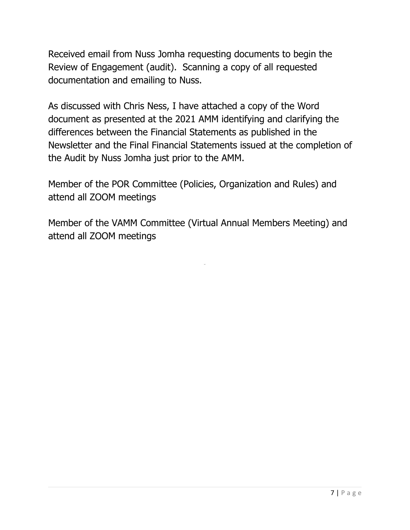Received email from Nuss Jomha requesting documents to begin the Review of Engagement (audit). Scanning a copy of all requested documentation and emailing to Nuss.

As discussed with Chris Ness, I have attached a copy of the Word document as presented at the 2021 AMM identifying and clarifying the differences between the Financial Statements as published in the Newsletter and the Final Financial Statements issued at the completion of the Audit by Nuss Jomha just prior to the AMM.

Member of the POR Committee (Policies, Organization and Rules) and attend all ZOOM meetings

Member of the VAMM Committee (Virtual Annual Members Meeting) and attend all ZOOM meetings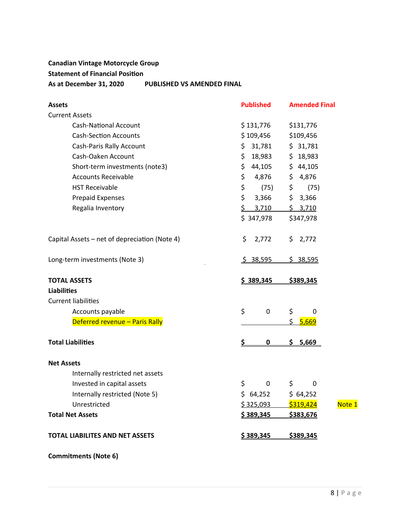## **Canadian Vintage Motorcycle Group Statement of Financial Position As at December 31, 2020 PUBLISHED VS AMENDED FINAL**

| <b>Assets</b>                                 | <b>Published</b> | <b>Amended Final</b> |
|-----------------------------------------------|------------------|----------------------|
| <b>Current Assets</b>                         |                  |                      |
| <b>Cash-National Account</b>                  | \$131,776        | \$131,776            |
| <b>Cash-Section Accounts</b>                  | \$109,456        | \$109,456            |
| Cash-Paris Rally Account                      | 31,781<br>\$     | \$31,781             |
| Cash-Oaken Account                            | \$<br>18,983     | \$18,983             |
| Short-term investments (note3)                | \$<br>44,105     | \$44,105             |
| <b>Accounts Receivable</b>                    | \$<br>4,876      | \$4,876              |
| <b>HST Receivable</b>                         | \$<br>(75)       | $\sharp$<br>(75)     |
| Prepaid Expenses                              | \$<br>3,366      | \$3,366              |
| Regalia Inventory                             | \$<br>3,710      | \$3,710              |
|                                               | \$347,978        | \$347,978            |
| Capital Assets - net of depreciation (Note 4) | \$<br>2,772      | \$2,772              |
| Long-term investments (Note 3)                | <u>\$38,595</u>  | \$38,595             |
| <b>TOTAL ASSETS</b>                           | \$389,345        | \$389,345            |
| <b>Liabilities</b>                            |                  |                      |
| <b>Current liabilities</b>                    |                  |                      |
| Accounts payable                              | \$<br>0          | \$<br>0              |
| Deferred revenue - Paris Rally                |                  | \$ 5,669             |
| <b>Total Liabilities</b>                      | \$<br>$\bf{0}$   | \$<br>5,669          |
| <b>Net Assets</b>                             |                  |                      |
| Internally restricted net assets              |                  |                      |
| Invested in capital assets                    | \$<br>0          | \$<br>0              |
| Internally restricted (Note 5)                | \$64,252         | \$64,252             |
| Unrestricted                                  | \$325,093        | \$319,424<br>Note 1  |
| <b>Total Net Assets</b>                       | \$389,345        | \$383,676            |
| <b>TOTAL LIABILITES AND NET ASSETS</b>        | \$389,345        | \$389,345            |

**Commitments (Note 6)**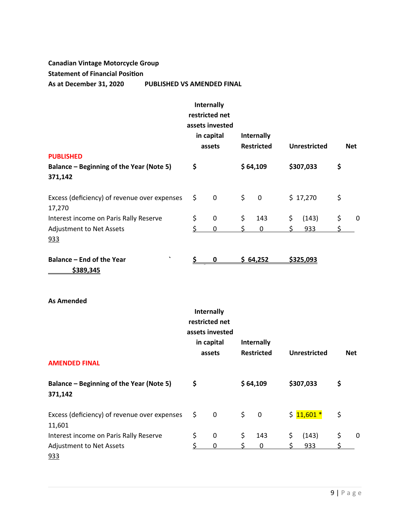## **Canadian Vintage Motorcycle Group Statement of Financial Position**

**As at December 31, 2020 PUBLISHED VS AMENDED FINAL**

|                                                        |    | Internally<br>restricted net<br>assets invested<br>in capital<br>assets |    | Internally<br><b>Restricted</b> |     | <b>Unrestricted</b> | <b>Net</b> |
|--------------------------------------------------------|----|-------------------------------------------------------------------------|----|---------------------------------|-----|---------------------|------------|
| <b>PUBLISHED</b>                                       |    |                                                                         |    |                                 |     |                     |            |
| Balance – Beginning of the Year (Note 5)               | \$ |                                                                         |    | \$64,109                        |     | \$307,033           | \$         |
| 371,142                                                |    |                                                                         |    |                                 |     |                     |            |
| Excess (deficiency) of revenue over expenses<br>17,270 | \$ | 0                                                                       | \$ | 0                               |     | \$17,270            | \$         |
| Interest income on Paris Rally Reserve                 | \$ | 0                                                                       | \$ | 143                             | \$  | (143)               | \$<br>0    |
| <b>Adjustment to Net Assets</b>                        | ς  | 0                                                                       | ς  | $\Omega$                        | \$. | 933                 |            |
| 933                                                    |    |                                                                         |    |                                 |     |                     |            |
| $\cdot$<br>Balance – End of the Year                   |    | 0                                                                       |    | \$64,252                        |     | \$325,093           |            |
| <u>\$389,345</u>                                       |    |                                                                         |    |                                 |     |                     |            |

#### **As Amended**

|                                                        | Internally<br>restricted net<br>assets invested<br>in capital<br>assets | Internally<br><b>Restricted</b> | Unrestricted | <b>Net</b> |
|--------------------------------------------------------|-------------------------------------------------------------------------|---------------------------------|--------------|------------|
| <b>AMENDED FINAL</b>                                   |                                                                         |                                 |              |            |
| Balance - Beginning of the Year (Note 5)<br>371,142    | \$                                                                      | \$64,109                        | \$307,033    | \$         |
| Excess (deficiency) of revenue over expenses<br>11,601 | \$<br>0                                                                 | \$<br>0                         | $$11,601*$   | \$         |
| Interest income on Paris Rally Reserve                 | \$<br>0                                                                 | \$<br>143                       | \$<br>(143)  | \$<br>0    |
| <b>Adjustment to Net Assets</b><br>933                 | 0                                                                       | 0                               | 933          |            |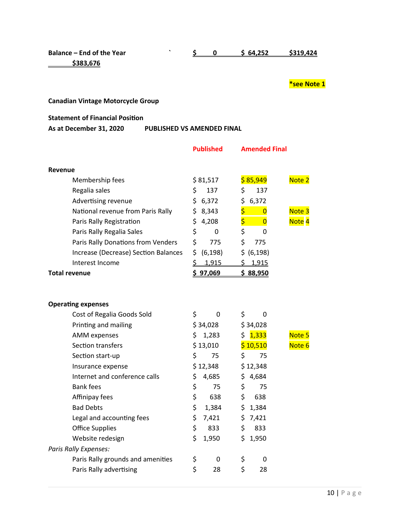**\$383,676**

## **Balance – End of the Year ` \$ 0 \$ 64,252 \$319,424**

#### **\*see Note 1**

## **Canadian Vintage Motorcycle Group**

#### **Statement of Financial Position**

#### **As at December 31, 2020 PUBLISHED VS AMENDED FINAL**

|                      |                                      | <b>Published</b> |     | <b>Amended Final</b> |                   |
|----------------------|--------------------------------------|------------------|-----|----------------------|-------------------|
| Revenue              |                                      |                  |     |                      |                   |
|                      | Membership fees                      | \$81,517         |     | \$85,949             | Note 2            |
|                      |                                      | \$<br>137        | \$  | 137                  |                   |
|                      | Regalia sales                        |                  |     |                      |                   |
|                      | Advertising revenue                  | \$6,372          |     | \$6,372              |                   |
|                      | National revenue from Paris Rally    | \$8,343          | \$  | $\overline{0}$       | Note 3            |
|                      | Paris Rally Registration             | \$<br>4,208      | \$. | $\overline{0}$       | Note <sub>4</sub> |
|                      | Paris Rally Regalia Sales            | \$<br>0          | \$  | 0                    |                   |
|                      | Paris Rally Donations from Venders   | \$<br>775        | \$  | 775                  |                   |
|                      | Increase (Decrease) Section Balances | \$<br>(6, 198)   |     | \$ (6, 198)          |                   |
|                      | Interest Income                      | \$ 1,915         |     | \$1,915              |                   |
| <b>Total revenue</b> |                                      | \$97,069         |     | \$88,950             |                   |
|                      |                                      |                  |     |                      |                   |
|                      | <b>Operating expenses</b>            |                  |     |                      |                   |
|                      | Cost of Regalia Goods Sold           | \$<br>0          | \$  | 0                    |                   |
|                      | Printing and mailing                 | \$34,028         |     | \$34,028             |                   |
|                      | <b>AMM</b> expenses                  | \$<br>1,283      |     | \$1,333              | Note 5            |
|                      | Section transfers                    | \$13,010         |     | \$10,510             | Note 6            |
|                      | Section start-up                     | \$<br>75         | \$  | 75                   |                   |
|                      | Insurance expense                    | \$12,348         |     | \$12,348             |                   |
|                      | Internet and conference calls        | \$<br>4,685      | \$  | 4,684                |                   |
|                      | <b>Bank fees</b>                     | \$<br>75         | \$  | 75                   |                   |
|                      | Affinipay fees                       | \$<br>638        | \$  | 638                  |                   |
|                      | <b>Bad Debts</b>                     | \$<br>1,384      |     | \$1,384              |                   |
|                      | Legal and accounting fees            | \$<br>7,421      |     | \$7,421              |                   |
|                      | <b>Office Supplies</b>               | \$<br>833        | \$  | 833                  |                   |
|                      | Website redesign                     | \$<br>1,950      | \$  | 1,950                |                   |
|                      | Paris Rally Expenses:                |                  |     |                      |                   |
|                      | Paris Rally grounds and amenities    | \$<br>0          | \$  | 0                    |                   |
|                      | Paris Rally advertising              | \$<br>28         | \$  | 28                   |                   |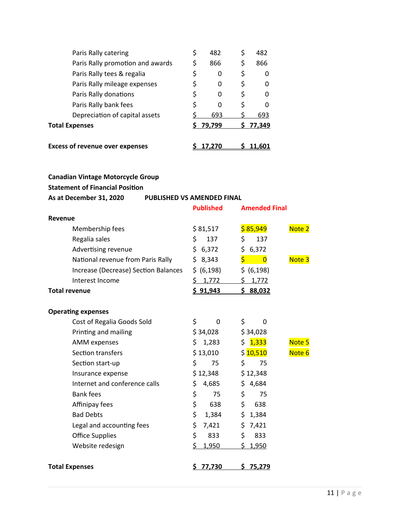| <b>Excess of revenue over expenses</b> |    | 17.270   | 11.601    |
|----------------------------------------|----|----------|-----------|
| <b>Total Expenses</b>                  |    | \$79,799 | 77,349    |
| Depreciation of capital assets         |    | 693      | 693       |
| Paris Rally bank fees                  | \$ | 0        | \$<br>O   |
| Paris Rally donations                  | Ş  | 0        | 0         |
| Paris Rally mileage expenses           | Ş  | 0        | \$<br>0   |
| Paris Rally tees & regalia             |    | 0        | 0         |
| Paris Rally promotion and awards       | \$ | 866      | \$<br>866 |
| Paris Rally catering                   | \$ | 482      | \$<br>482 |
|                                        |    |          |           |

# **Canadian Vintage Motorcycle Group**

## **Statement of Financial Position**

# **As at December 31, 2020 PUBLISHED VS AMENDED FINAL**

|                                      | <b>Published</b> | <b>Amended Final</b>            |
|--------------------------------------|------------------|---------------------------------|
| <b>Revenue</b>                       |                  |                                 |
| Membership fees                      | \$81,517         | \$85,949<br>Note 2              |
| Regalia sales                        | \$<br>137        | \$<br>137                       |
| Advertising revenue                  | \$6,372          | \$6,372                         |
| National revenue from Paris Rally    | \$8,343          | \$.<br>$\overline{0}$<br>Note 3 |
| Increase (Decrease) Section Balances | \$ (6, 198)      | \$ (6, 198)                     |
| Interest Income                      | \$1,772          | \$1,772                         |
| <b>Total revenue</b>                 | \$91,943         | \$88,032                        |
|                                      |                  |                                 |
| <b>Operating expenses</b>            |                  |                                 |
| Cost of Regalia Goods Sold           | \$<br>0          | \$<br>0                         |
| Printing and mailing                 | \$34,028         | \$34,028                        |
| <b>AMM</b> expenses                  | \$1,283          | \$1,333<br>Note 5               |
| Section transfers                    | \$13,010         | \$10,510<br>Note 6              |
| Section start-up                     | \$<br>75         | \$<br>75                        |
| Insurance expense                    | \$12,348         | \$12,348                        |
| Internet and conference calls        | \$<br>4,685      | \$4,684                         |
| <b>Bank fees</b>                     | \$<br>75         | \$<br>75                        |
| Affinipay fees                       | \$<br>638        | \$<br>638                       |
| <b>Bad Debts</b>                     | \$<br>1,384      | \$1,384                         |
| Legal and accounting fees            | \$<br>7,421      | \$7,421                         |
| <b>Office Supplies</b>               | \$<br>833        | \$<br>833                       |
| Website redesign                     | \$<br>1,950      | \$1,950                         |
|                                      |                  |                                 |
| <b>Total Expenses</b>                | 77,730<br>\$     | \$75,279                        |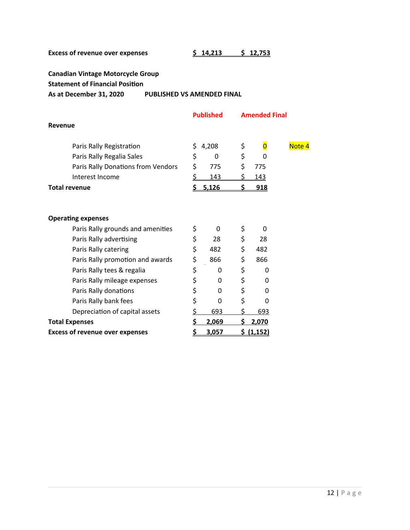**Canadian Vintage Motorcycle Group**

**Statement of Financial Position**

**As at December 31, 2020 PUBLISHED VS AMENDED FINAL**

|                                        |           | <b>Published</b> | <b>Amended Final</b> |                         |        |  |
|----------------------------------------|-----------|------------------|----------------------|-------------------------|--------|--|
| Revenue                                |           |                  |                      |                         |        |  |
| Paris Rally Registration               | \$        | 4,208            | \$                   | $\overline{\mathbf{0}}$ | Note 4 |  |
| Paris Rally Regalia Sales              | \$        | 0                | \$                   | 0                       |        |  |
| Paris Rally Donations from Vendors     | \$        | 775              | \$                   | 775                     |        |  |
| Interest Income                        | \$        | 143              | \$                   | <u>143</u>              |        |  |
| Total revenue                          | \$        | 5,126            | \$.                  | <u>918</u>              |        |  |
|                                        |           |                  |                      |                         |        |  |
| <b>Operating expenses</b>              |           |                  |                      |                         |        |  |
| Paris Rally grounds and amenities      | \$        | 0                | \$                   | 0                       |        |  |
| Paris Rally advertising                | \$        | 28               | \$                   | 28                      |        |  |
| Paris Rally catering                   | \$        | 482              | \$                   | 482                     |        |  |
| Paris Rally promotion and awards       | \$        | 866              | \$                   | 866                     |        |  |
| Paris Rally tees & regalia             | \$        | 0                | \$                   | 0                       |        |  |
| Paris Rally mileage expenses           | \$        | 0                | \$                   | 0                       |        |  |
| Paris Rally donations                  | \$        | 0                | \$                   | 0                       |        |  |
| Paris Rally bank fees                  | \$        | 0                | \$                   | 0                       |        |  |
| Depreciation of capital assets         | \$        | 693              | \$                   | 693                     |        |  |
| <b>Total Expenses</b>                  | \$        | 2,069            | Ś.                   | 2,070                   |        |  |
| <b>Excess of revenue over expenses</b> | <u>\$</u> | 3,057            |                      | \$ (1,152)              |        |  |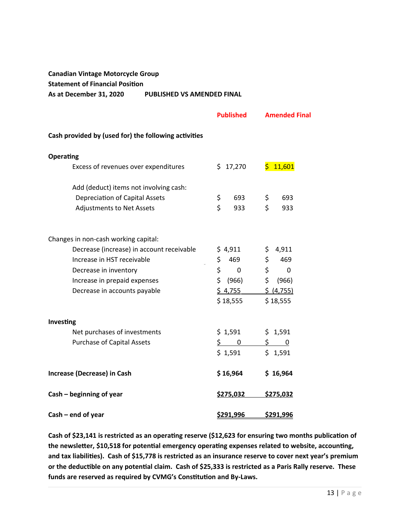## **Canadian Vintage Motorcycle Group Statement of Financial Position As at December 31, 2020 PUBLISHED VS AMENDED FINAL**

|                                                      | <b>Published</b>   | <b>Amended Final</b> |
|------------------------------------------------------|--------------------|----------------------|
| Cash provided by (used for) the following activities |                    |                      |
| <b>Operating</b>                                     |                    |                      |
| Excess of revenues over expenditures                 | \$17,270           | \$11,601             |
| Add (deduct) items not involving cash:               |                    |                      |
| <b>Depreciation of Capital Assets</b>                | \$<br>693          | \$<br>693            |
| <b>Adjustments to Net Assets</b>                     | $\zeta$<br>933     | \$<br>933            |
| Changes in non-cash working capital:                 |                    |                      |
| Decrease (increase) in account receivable            | \$4,911            | \$<br>4,911          |
| Increase in HST receivable                           | \$<br>469          | \$<br>469            |
| Decrease in inventory                                | \$<br>$\mathbf{0}$ | \$<br>$\mathbf{0}$   |
| Increase in prepaid expenses                         | \$ (966)           | \$ (966)             |
| Decrease in accounts payable                         | \$4,755            | \$ (4,755)           |
|                                                      | \$18,555           | \$18,555             |
| Investing                                            |                    |                      |
| Net purchases of investments                         | \$1,591            | \$1,591              |
| <b>Purchase of Capital Assets</b>                    | $\frac{1}{2}$ 0    | $\frac{1}{2}$ 0      |
|                                                      | \$1,591            | \$1,591              |
| Increase (Decrease) in Cash                          | \$16,964           | \$16,964             |
| Cash - beginning of year                             | \$275,032          | \$275,032            |
| $Cash - end of year$                                 | \$291,996          | \$291,996            |

**Cash of \$23,141 is restricted as an operating reserve (\$12,623 for ensuring two months publication of the newsletter, \$10,518 for potential emergency operating expenses related to website, accounting, and tax liabilities). Cash of \$15,778 is restricted as an insurance reserve to cover next year's premium or the deductible on any potential claim. Cash of \$25,333 is restricted as a Paris Rally reserve. These funds are reserved as required by CVMG's Constitution and By-Laws.**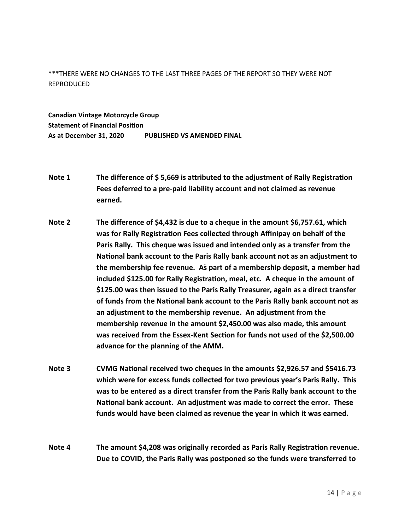\*\*\*THERE WERE NO CHANGES TO THE LAST THREE PAGES OF THE REPORT SO THEY WERE NOT REPRODUCED

**Canadian Vintage Motorcycle Group Statement of Financial Position As at December 31, 2020 PUBLISHED VS AMENDED FINAL**

- **Note 1 The difference of \$ 5,669 is attributed to the adjustment of Rally Registration Fees deferred to a pre-paid liability account and not claimed as revenue earned.**
- the membership fee revenue. As part of a membership deposit, a member had **Note 2 The difference of \$4,432 is due to a cheque in the amount \$6,757.61, which was for Rally Registration Fees collected through Affinipay on behalf of the Paris Rally. This cheque was issued and intended only as a transfer from the National bank account to the Paris Rally bank account not as an adjustment to included \$125.00 for Rally Registration, meal, etc. A cheque in the amount of \$125.00 was then issued to the Paris Rally Treasurer, again as a direct transfer of funds from the National bank account to the Paris Rally bank account not as an adjustment to the membership revenue. An adjustment from the membership revenue in the amount \$2,450.00 was also made, this amount was received from the Essex-Kent Section for funds not used of the \$2,500.00 advance for the planning of the AMM.**
- **Note 3 CVMG National received two cheques in the amounts \$2,926.57 and \$5416.73 which were for excess funds collected for two previous year's Paris Rally. This was to be entered as a direct transfer from the Paris Rally bank account to the National bank account. An adjustment was made to correct the error. These funds would have been claimed as revenue the year in which it was earned.**

**Note 4 The amount \$4,208 was originally recorded as Paris Rally Registration revenue. Due to COVID, the Paris Rally was postponed so the funds were transferred to**